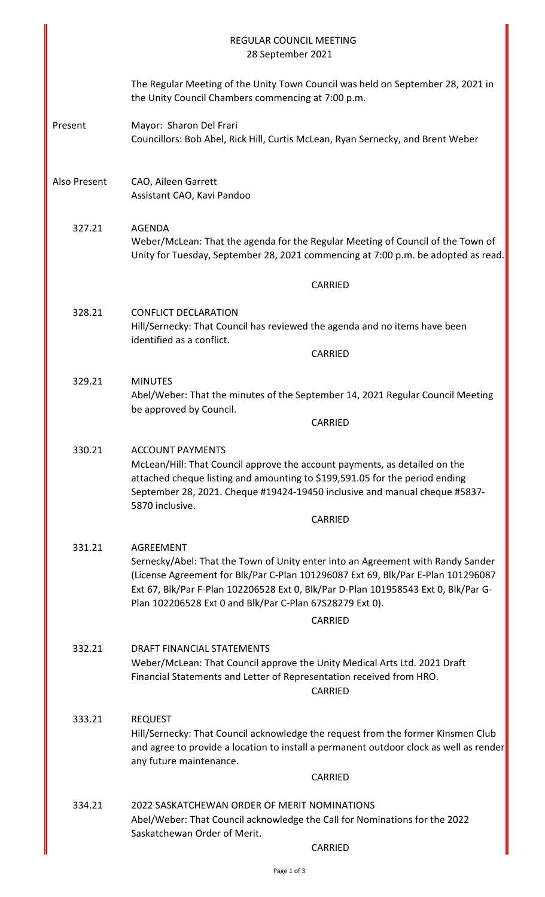|              | REGULAR COUNCIL MEETING<br>28 September 2021                                                                                                                                                                                                                                                                                                         |  |  |
|--------------|------------------------------------------------------------------------------------------------------------------------------------------------------------------------------------------------------------------------------------------------------------------------------------------------------------------------------------------------------|--|--|
|              | The Regular Meeting of the Unity Town Council was held on September 28, 2021 in<br>the Unity Council Chambers commencing at 7:00 p.m.                                                                                                                                                                                                                |  |  |
| Present      | Mayor: Sharon Del Frari<br>Councillors: Bob Abel, Rick Hill, Curtis McLean, Ryan Sernecky, and Brent Weber                                                                                                                                                                                                                                           |  |  |
| Also Present | CAO, Aileen Garrett<br>Assistant CAO, Kavi Pandoo                                                                                                                                                                                                                                                                                                    |  |  |
| 327.21       | <b>AGENDA</b><br>Weber/McLean: That the agenda for the Regular Meeting of Council of the Town of<br>Unity for Tuesday, September 28, 2021 commencing at 7:00 p.m. be adopted as read.                                                                                                                                                                |  |  |
|              | CARRIED                                                                                                                                                                                                                                                                                                                                              |  |  |
| 328.21       | <b>CONFLICT DECLARATION</b><br>Hill/Sernecky: That Council has reviewed the agenda and no items have been<br>identified as a conflict.                                                                                                                                                                                                               |  |  |
|              | <b>CARRIED</b>                                                                                                                                                                                                                                                                                                                                       |  |  |
| 329.21       | <b>MINUTES</b><br>Abel/Weber: That the minutes of the September 14, 2021 Regular Council Meeting<br>be approved by Council.                                                                                                                                                                                                                          |  |  |
|              | CARRIED                                                                                                                                                                                                                                                                                                                                              |  |  |
| 330.21       | <b>ACCOUNT PAYMENTS</b><br>McLean/Hill: That Council approve the account payments, as detailed on the<br>attached cheque listing and amounting to \$199,591.05 for the period ending<br>September 28, 2021. Cheque #19424-19450 inclusive and manual cheque #5837-<br>5870 inclusive.                                                                |  |  |
|              | <b>CARRIED</b>                                                                                                                                                                                                                                                                                                                                       |  |  |
| 331.21       | AGREEMENT<br>Sernecky/Abel: That the Town of Unity enter into an Agreement with Randy Sander<br>(License Agreement for Blk/Par C-Plan 101296087 Ext 69, Blk/Par E-Plan 101296087<br>Ext 67, Blk/Par F-Plan 102206528 Ext 0, Blk/Par D-Plan 101958543 Ext 0, Blk/Par G-<br>Plan 102206528 Ext 0 and Blk/Par C-Plan 67S28279 Ext 0).<br><b>CARRIED</b> |  |  |
| 332.21       | DRAFT FINANCIAL STATEMENTS<br>Weber/McLean: That Council approve the Unity Medical Arts Ltd. 2021 Draft<br>Financial Statements and Letter of Representation received from HRO.<br>CARRIED                                                                                                                                                           |  |  |
| 333.21       | <b>REQUEST</b><br>Hill/Sernecky: That Council acknowledge the request from the former Kinsmen Club<br>and agree to provide a location to install a permanent outdoor clock as well as render<br>any future maintenance.<br>CARRIED                                                                                                                   |  |  |
| 334.21       | 2022 SASKATCHEWAN ORDER OF MERIT NOMINATIONS<br>Abel/Weber: That Council acknowledge the Call for Nominations for the 2022<br>Saskatchewan Order of Merit.<br>CARRIED                                                                                                                                                                                |  |  |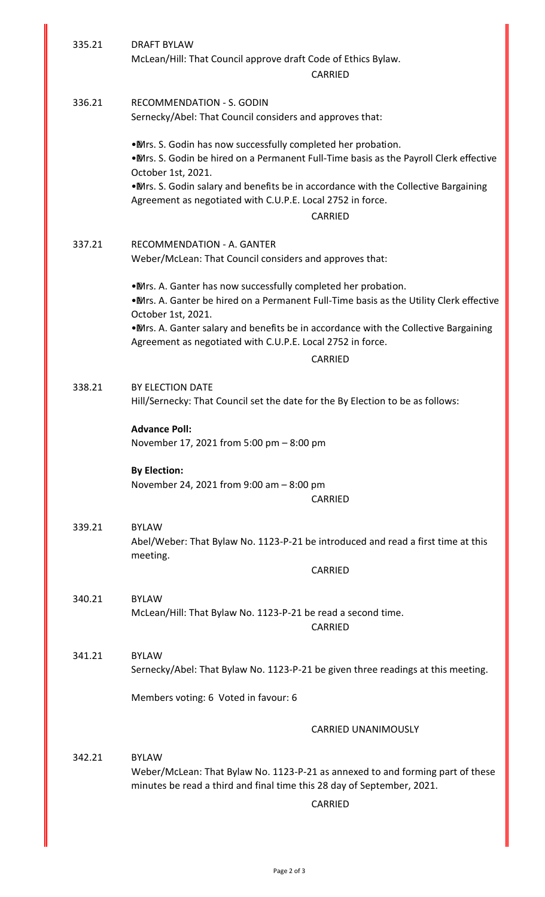| 335.21 | <b>DRAFT BYLAW</b><br>McLean/Hill: That Council approve draft Code of Ethics Bylaw.<br><b>CARRIED</b>                                                                                                                                                                                                                                 |  |  |
|--------|---------------------------------------------------------------------------------------------------------------------------------------------------------------------------------------------------------------------------------------------------------------------------------------------------------------------------------------|--|--|
|        |                                                                                                                                                                                                                                                                                                                                       |  |  |
| 336.21 | <b>RECOMMENDATION - S. GODIN</b><br>Sernecky/Abel: That Council considers and approves that:                                                                                                                                                                                                                                          |  |  |
|        | . Mrs. S. Godin has now successfully completed her probation.<br>. Mrs. S. Godin be hired on a Permanent Full-Time basis as the Payroll Clerk effective<br>October 1st, 2021.<br>. Mrs. S. Godin salary and benefits be in accordance with the Collective Bargaining                                                                  |  |  |
|        | Agreement as negotiated with C.U.P.E. Local 2752 in force.<br><b>CARRIED</b>                                                                                                                                                                                                                                                          |  |  |
|        |                                                                                                                                                                                                                                                                                                                                       |  |  |
| 337.21 | <b>RECOMMENDATION - A. GANTER</b><br>Weber/McLean: That Council considers and approves that:                                                                                                                                                                                                                                          |  |  |
|        | . Mrs. A. Ganter has now successfully completed her probation.<br>. Mrs. A. Ganter be hired on a Permanent Full-Time basis as the Utility Clerk effective<br>October 1st, 2021.<br>. Mrs. A. Ganter salary and benefits be in accordance with the Collective Bargaining<br>Agreement as negotiated with C.U.P.E. Local 2752 in force. |  |  |
|        | CARRIED                                                                                                                                                                                                                                                                                                                               |  |  |
| 338.21 | BY ELECTION DATE<br>Hill/Sernecky: That Council set the date for the By Election to be as follows:<br><b>Advance Poll:</b><br>November 17, 2021 from 5:00 pm - 8:00 pm                                                                                                                                                                |  |  |
|        |                                                                                                                                                                                                                                                                                                                                       |  |  |
|        | <b>By Election:</b><br>November 24, 2021 from 9:00 am - 8:00 pm                                                                                                                                                                                                                                                                       |  |  |
|        | CARRIED                                                                                                                                                                                                                                                                                                                               |  |  |
| 339.21 | <b>BYLAW</b><br>Abel/Weber: That Bylaw No. 1123-P-21 be introduced and read a first time at this<br>meeting.                                                                                                                                                                                                                          |  |  |
|        | CARRIED                                                                                                                                                                                                                                                                                                                               |  |  |
| 340.21 | <b>BYLAW</b><br>McLean/Hill: That Bylaw No. 1123-P-21 be read a second time.<br>CARRIED                                                                                                                                                                                                                                               |  |  |
| 341.21 | <b>BYLAW</b><br>Sernecky/Abel: That Bylaw No. 1123-P-21 be given three readings at this meeting.                                                                                                                                                                                                                                      |  |  |
|        | Members voting: 6 Voted in favour: 6                                                                                                                                                                                                                                                                                                  |  |  |
|        | <b>CARRIED UNANIMOUSLY</b>                                                                                                                                                                                                                                                                                                            |  |  |
| 342.21 | <b>BYLAW</b><br>Weber/McLean: That Bylaw No. 1123-P-21 as annexed to and forming part of these<br>minutes be read a third and final time this 28 day of September, 2021.<br><b>CARRIED</b>                                                                                                                                            |  |  |